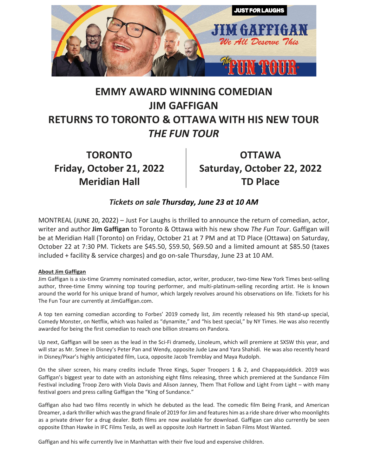

## **EMMY AWARD WINNING COMEDIAN JIM GAFFIGAN RETURNS TO TORONTO & OTTAWA WITH HIS NEW TOUR** *THE FUN TOUR*

**TORONTO Friday, October 21, 2022 Meridian Hall**

**OTTAWA Saturday, October 22, 2022 TD Place**

## *Tickets on sale [Thursday,](outlook-data-detector://0/) June 23 at 10 AM*

MONTREAL (JUNE 20, 2022) – Just For Laughs is thrilled to announce the return of comedian, actor, writer and author **Jim Gaffigan** to Toronto & Ottawa with his new show *The Fun Tour*. Gaffigan will be at Meridian Hall (Toronto) on Friday, October 21 at 7 PM and at TD Place (Ottawa) on Saturday, October 22 at 7:30 PM. Tickets are \$45.50, \$59.50, \$69.50 and a limited amount at \$85.50 (taxes included + facility & service charges) and go on-sale Thursday, June 23 at 10 AM.

## **About Jim Gaffigan**

Jim Gaffigan is a six-time Grammy nominated comedian, actor, writer, producer, two-time New York Times best-selling author, three-time Emmy winning top touring performer, and multi-platinum-selling recording artist. He is known around the world for his unique brand of humor, which largely revolves around his observations on life. Tickets for his The Fun Tour are currently at JimGaffigan.com.

A top ten earning comedian according to Forbes' 2019 comedy list, Jim recently released his 9th stand-up special, Comedy Monster, on Netflix, which was hailed as "dynamite," and "his best special," by NY Times. He was also recently awarded for being the first comedian to reach one billion streams on Pandora.

Up next, Gaffigan will be seen as the lead in the Sci-Fi dramedy, Linoleum, which will premiere at SXSW this year, and will star as Mr. Smee in Disney's Peter Pan and Wendy, opposite Jude Law and Yara Shahidi. He was also recently heard in Disney/Pixar's highly anticipated film, Luca, opposite Jacob Tremblay and Maya Rudolph.

On the silver screen, his many credits include Three Kings, Super Troopers 1 & 2, and Chappaquiddick. 2019 was Gaffigan's biggest year to date with an astonishing eight films releasing, three which premiered at the Sundance Film Festival including Troop Zero with Viola Davis and Alison Janney, Them That Follow and Light From Light – with many festival goers and press calling Gaffigan the "King of Sundance."

Gaffigan also had two films recently in which he debuted as the lead. The comedic film Being Frank, and American Dreamer, a dark thriller which was the grand finale of 2019 for Jim and features him as a ride share driver who moonlights as a private driver for a drug dealer. Both films are now available for download. Gaffigan can also currently be seen opposite Ethan Hawke in IFC Films Tesla, as well as opposite Josh Hartnett in Saban Films Most Wanted.

Gaffigan and his wife currently live in Manhattan with their five loud and expensive children.